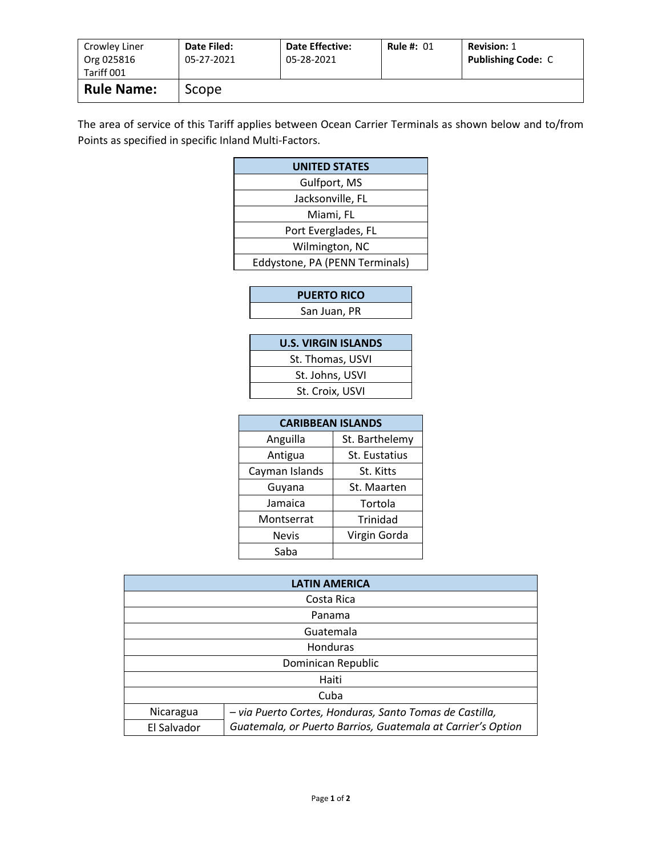| Crowley Liner<br>Org 025816<br>Tariff 001 | Date Filed:<br>05-27-2021 | <b>Date Effective:</b><br>05-28-2021 | <b>Rule #: 01</b> | <b>Revision: 1</b><br><b>Publishing Code: C</b> |
|-------------------------------------------|---------------------------|--------------------------------------|-------------------|-------------------------------------------------|
| <b>Rule Name:</b>                         | Scope                     |                                      |                   |                                                 |

The area of service of this Tariff applies between Ocean Carrier Terminals as shown below and to/from Points as specified in specific Inland Multi-Factors.

| <b>UNITED STATES</b>           |  |  |
|--------------------------------|--|--|
| Gulfport, MS                   |  |  |
| Jacksonville, FL               |  |  |
| Miami, FL                      |  |  |
| Port Everglades, FL            |  |  |
| Wilmington, NC                 |  |  |
| Eddystone, PA (PENN Terminals) |  |  |

| <b>PUERTO RICO</b> |  |
|--------------------|--|
| San Juan, PR       |  |
|                    |  |

| <b>U.S. VIRGIN ISLANDS</b> |
|----------------------------|
| St. Thomas, USVI           |
| St. Johns, USVI            |
| St. Croix, USVI            |

| <b>CARIBBEAN ISLANDS</b> |                |  |  |  |
|--------------------------|----------------|--|--|--|
| Anguilla                 | St. Barthelemy |  |  |  |
| Antigua                  | St. Eustatius  |  |  |  |
| Cayman Islands           | St. Kitts      |  |  |  |
| Guyana                   | St. Maarten    |  |  |  |
| Jamaica                  | Tortola        |  |  |  |
| Montserrat               | Trinidad       |  |  |  |
| Nevis                    | Virgin Gorda   |  |  |  |
| Saba                     |                |  |  |  |

| <b>LATIN AMERICA</b> |                                                             |  |  |
|----------------------|-------------------------------------------------------------|--|--|
| Costa Rica           |                                                             |  |  |
| Panama               |                                                             |  |  |
| Guatemala            |                                                             |  |  |
| Honduras             |                                                             |  |  |
| Dominican Republic   |                                                             |  |  |
| Haiti                |                                                             |  |  |
|                      | Cuba                                                        |  |  |
| Nicaragua            | - via Puerto Cortes, Honduras, Santo Tomas de Castilla,     |  |  |
| El Salvador          | Guatemala, or Puerto Barrios, Guatemala at Carrier's Option |  |  |